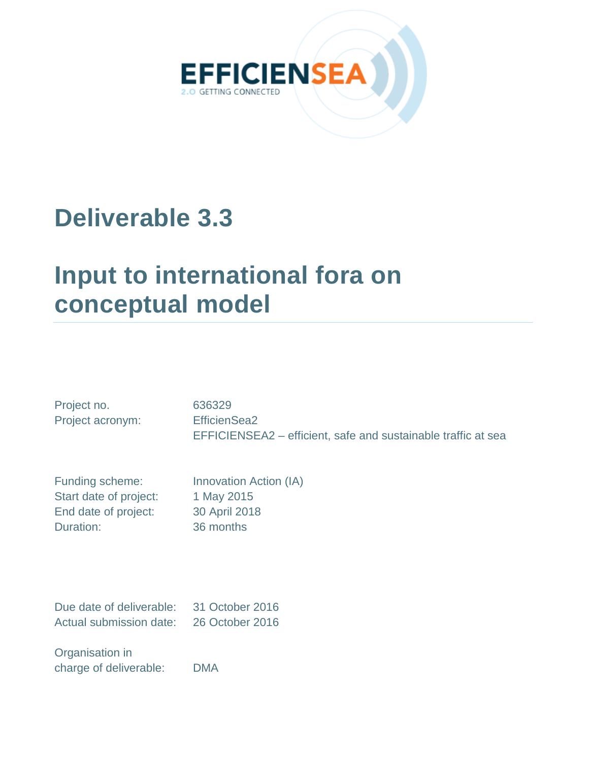

# **Deliverable 3.3**

# **Input to international fora on conceptual model**

| Project no.<br>Project acronym:           | 636329<br>EfficienSea2<br>EFFICIENSEA2 – efficient, safe and sustainable traffic at sea |
|-------------------------------------------|-----------------------------------------------------------------------------------------|
| Funding scheme:                           | Innovation Action (IA)                                                                  |
| Start date of project:                    | 1 May 2015                                                                              |
| End date of project:                      | 30 April 2018                                                                           |
| Duration:                                 | 36 months                                                                               |
| Due date of deliverable:                  | 31 October 2016                                                                         |
| Actual submission date:                   | 26 October 2016                                                                         |
| Organisation in<br>charge of deliverable: | <b>DMA</b>                                                                              |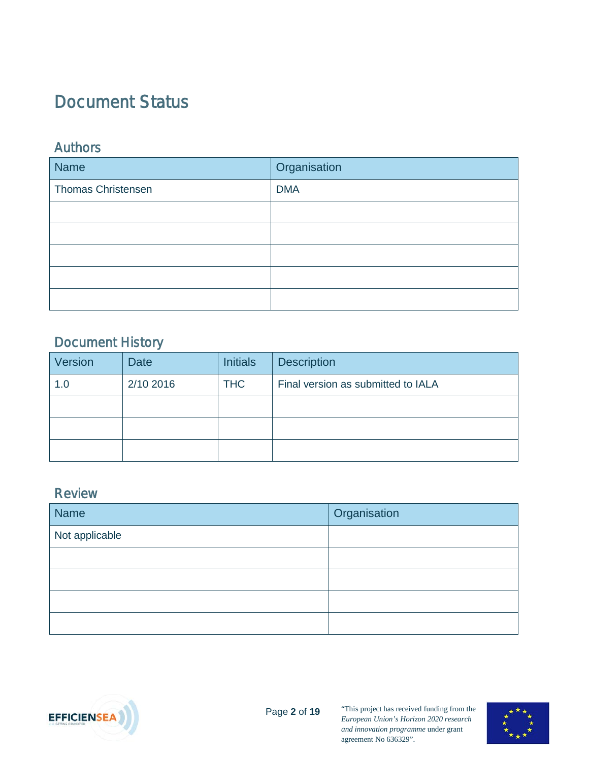## Document Status

### Authors

| Name                      | Organisation |
|---------------------------|--------------|
| <b>Thomas Christensen</b> | <b>DMA</b>   |
|                           |              |
|                           |              |
|                           |              |
|                           |              |
|                           |              |

## Document History

| Version | <b>Date</b> | <b>Initials</b> | <b>Description</b>                 |
|---------|-------------|-----------------|------------------------------------|
| 1.0     | 2/10 2016   | <b>THC</b>      | Final version as submitted to IALA |
|         |             |                 |                                    |
|         |             |                 |                                    |
|         |             |                 |                                    |

### Review

| Name           | Organisation |
|----------------|--------------|
| Not applicable |              |
|                |              |
|                |              |
|                |              |
|                |              |



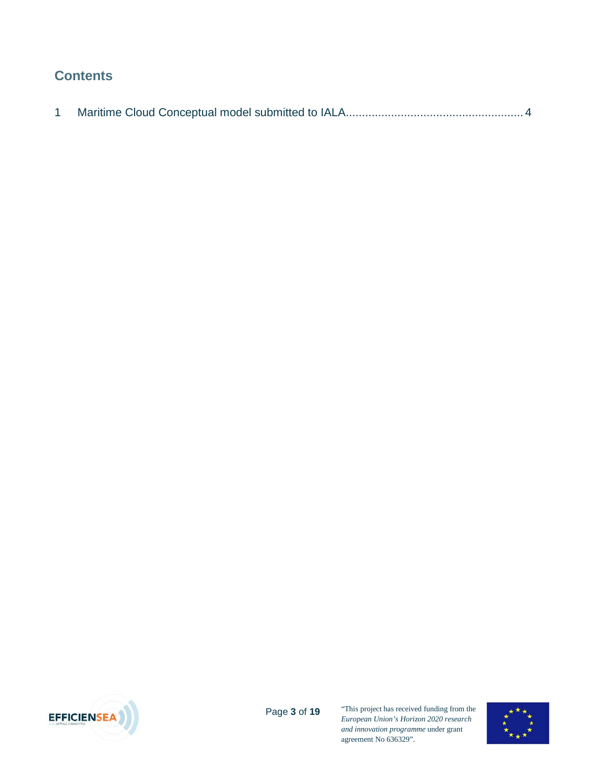## **Contents**



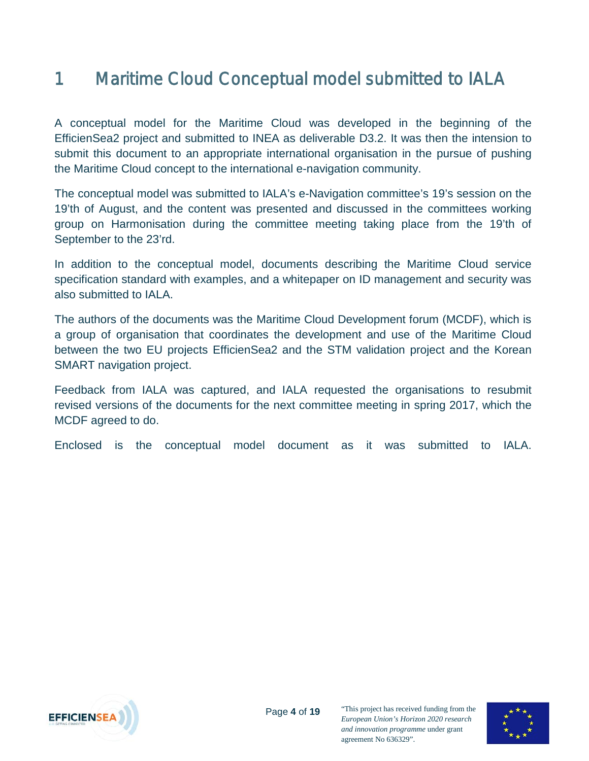## <span id="page-3-0"></span>1 Maritime Cloud Conceptual model submitted to IALA

A conceptual model for the Maritime Cloud was developed in the beginning of the EfficienSea2 project and submitted to INEA as deliverable D3.2. It was then the intension to submit this document to an appropriate international organisation in the pursue of pushing the Maritime Cloud concept to the international e-navigation community.

The conceptual model was submitted to IALA's e-Navigation committee's 19's session on the 19'th of August, and the content was presented and discussed in the committees working group on Harmonisation during the committee meeting taking place from the 19'th of September to the 23'rd.

In addition to the conceptual model, documents describing the Maritime Cloud service specification standard with examples, and a whitepaper on ID management and security was also submitted to IALA.

The authors of the documents was the Maritime Cloud Development forum (MCDF), which is a group of organisation that coordinates the development and use of the Maritime Cloud between the two EU projects EfficienSea2 and the STM validation project and the Korean SMART navigation project.

Feedback from IALA was captured, and IALA requested the organisations to resubmit revised versions of the documents for the next committee meeting in spring 2017, which the MCDF agreed to do.

Enclosed is the conceptual model document as it was submitted to IALA.



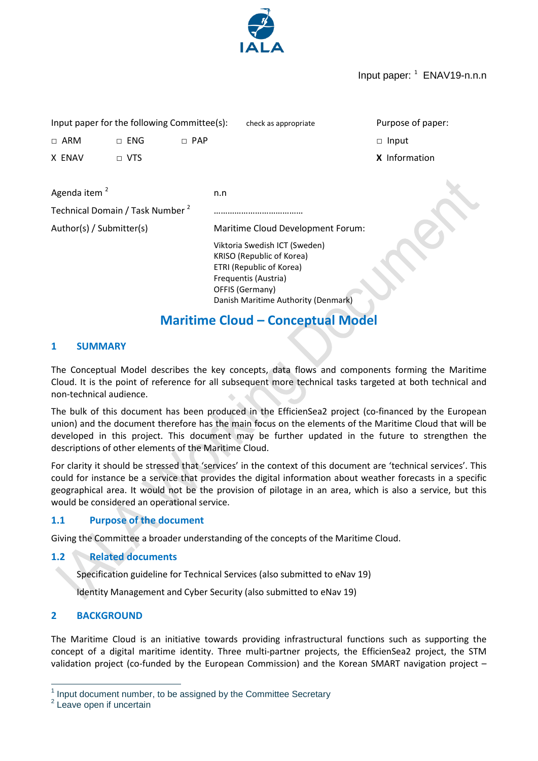

Input paper: <sup>[1](#page-4-0)</sup> ENAV19-n.n.n

|                          | Input paper for the following Committee(s): |                                   | check as appropriate                                                                                                              |                                     | Purpose of paper: |
|--------------------------|---------------------------------------------|-----------------------------------|-----------------------------------------------------------------------------------------------------------------------------------|-------------------------------------|-------------------|
| $\Box$ ARM               | $\Box$ ENG                                  | $\Box$ PAP                        |                                                                                                                                   |                                     | $\Box$ Input      |
| X ENAV                   | □ VTS                                       |                                   |                                                                                                                                   |                                     | X Information     |
| Agenda item <sup>2</sup> | Technical Domain / Task Number <sup>2</sup> |                                   | n.n                                                                                                                               |                                     |                   |
| Author(s) / Submitter(s) |                                             | Maritime Cloud Development Forum: |                                                                                                                                   |                                     |                   |
|                          |                                             |                                   | Viktoria Swedish ICT (Sweden)<br>KRISO (Republic of Korea)<br>ETRI (Republic of Korea)<br>Frequentis (Austria)<br>OFFIS (Germany) | Danish Maritime Authority (Denmark) |                   |
|                          |                                             |                                   |                                                                                                                                   |                                     |                   |

## **Maritime Cloud – Conceptual Model**

#### **1 SUMMARY**

The Conceptual Model describes the key concepts, data flows and components forming the Maritime Cloud. It is the point of reference for all subsequent more technical tasks targeted at both technical and non-technical audience.

The bulk of this document has been produced in the EfficienSea2 project (co-financed by the European union) and the document therefore has the main focus on the elements of the Maritime Cloud that will be developed in this project. This document may be further updated in the future to strengthen the descriptions of other elements of the Maritime Cloud.

For clarity it should be stressed that 'services' in the context of this document are 'technical services'. This could for instance be a service that provides the digital information about weather forecasts in a specific geographical area. It would not be the provision of pilotage in an area, which is also a service, but this would be considered an operational service.

#### **1.1 Purpose of the document**

Giving the Committee a broader understanding of the concepts of the Maritime Cloud.

#### **1.2 Related documents**

Specification guideline for Technical Services (also submitted to eNav 19)

Identity Management and Cyber Security (also submitted to eNav 19)

#### **2 BACKGROUND**

The Maritime Cloud is an initiative towards providing infrastructural functions such as supporting the concept of a digital maritime identity. Three multi-partner projects, the EfficienSea2 project, the STM validation project (co-funded by the European Commission) and the Korean SMART navigation project –

<span id="page-4-0"></span> $1$  Input document number, to be assigned by the Committee Secretary  $2$  Leave open if uncertain

<span id="page-4-1"></span>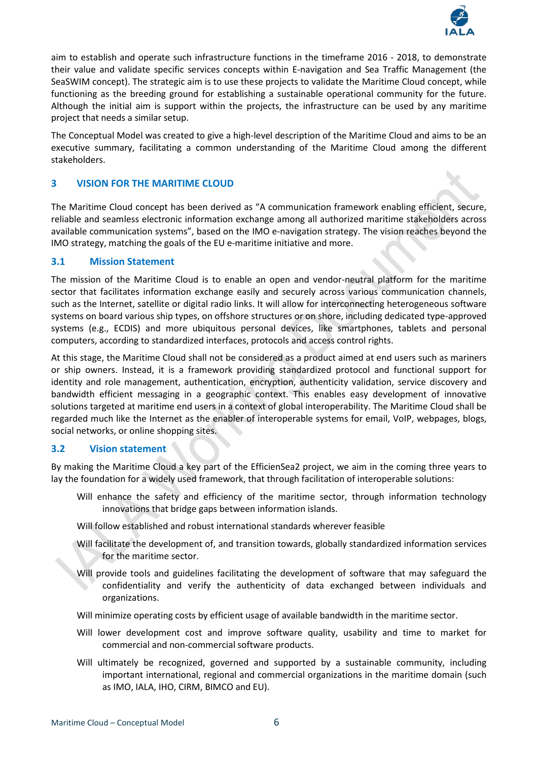

aim to establish and operate such infrastructure functions in the timeframe 2016 - 2018, to demonstrate their value and validate specific services concepts within E-navigation and Sea Traffic Management (the SeaSWIM concept). The strategic aim is to use these projects to validate the Maritime Cloud concept, while functioning as the breeding ground for establishing a sustainable operational community for the future. Although the initial aim is support within the projects, the infrastructure can be used by any maritime project that needs a similar setup.

The Conceptual Model was created to give a high-level description of the Maritime Cloud and aims to be an executive summary, facilitating a common understanding of the Maritime Cloud among the different stakeholders.

#### **3 VISION FOR THE MARITIME CLOUD**

The Maritime Cloud concept has been derived as "A communication framework enabling efficient, secure, reliable and seamless electronic information exchange among all authorized maritime stakeholders across available communication systems", based on the IMO e-navigation strategy. The vision reaches beyond the IMO strategy, matching the goals of the EU e-maritime initiative and more.

#### **3.1 Mission Statement**

The mission of the Maritime Cloud is to enable an open and vendor-neutral platform for the maritime sector that facilitates information exchange easily and securely across various communication channels, such as the Internet, satellite or digital radio links. It will allow for interconnecting heterogeneous software systems on board various ship types, on offshore structures or on shore, including dedicated type-approved systems (e.g., ECDIS) and more ubiquitous personal devices, like smartphones, tablets and personal computers, according to standardized interfaces, protocols and access control rights.

At this stage, the Maritime Cloud shall not be considered as a product aimed at end users such as mariners or ship owners. Instead, it is a framework providing standardized protocol and functional support for identity and role management, authentication, encryption, authenticity validation, service discovery and bandwidth efficient messaging in a geographic context. This enables easy development of innovative solutions targeted at maritime end users in a context of global interoperability. The Maritime Cloud shall be regarded much like the Internet as the enabler of interoperable systems for email, VoIP, webpages, blogs, social networks, or online shopping sites.

#### **3.2 Vision statement**

By making the Maritime Cloud a key part of the EfficienSea2 project, we aim in the coming three years to lay the foundation for a widely used framework, that through facilitation of interoperable solutions:

- Will enhance the safety and efficiency of the maritime sector, through information technology innovations that bridge gaps between information islands.
- Will follow established and robust international standards wherever feasible
- Will facilitate the development of, and transition towards, globally standardized information services for the maritime sector.
- Will provide tools and guidelines facilitating the development of software that may safeguard the confidentiality and verify the authenticity of data exchanged between individuals and organizations.

Will minimize operating costs by efficient usage of available bandwidth in the maritime sector.

- Will lower development cost and improve software quality, usability and time to market for commercial and non-commercial software products.
- Will ultimately be recognized, governed and supported by a sustainable community, including important international, regional and commercial organizations in the maritime domain (such as IMO, IALA, IHO, CIRM, BIMCO and EU).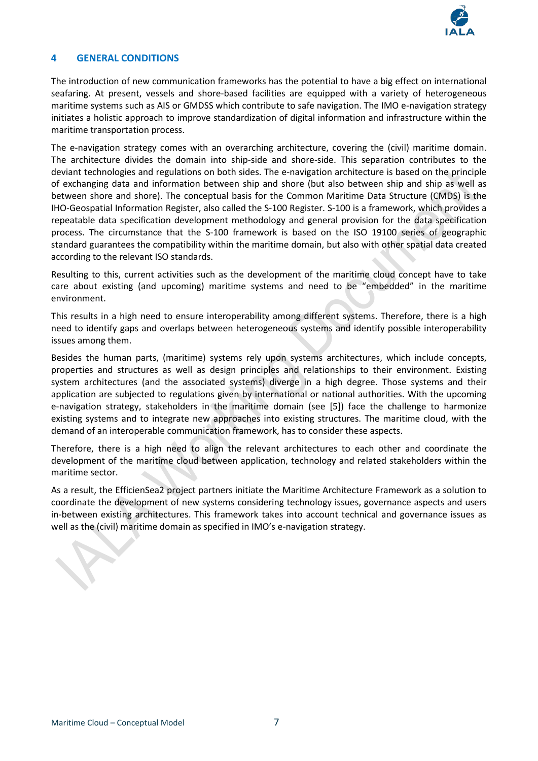

#### **4 GENERAL CONDITIONS**

The introduction of new communication frameworks has the potential to have a big effect on international seafaring. At present, vessels and shore-based facilities are equipped with a variety of heterogeneous maritime systems such as AIS or GMDSS which contribute to safe navigation. The IMO e-navigation strategy initiates a holistic approach to improve standardization of digital information and infrastructure within the maritime transportation process.

The e-navigation strategy comes with an overarching architecture, covering the (civil) maritime domain. The architecture divides the domain into ship-side and shore-side. This separation contributes to the deviant technologies and regulations on both sides. The e-navigation architecture is based on the principle of exchanging data and information between ship and shore (but also between ship and ship as well as between shore and shore). The conceptual basis for the Common Maritime Data Structure (CMDS) is the IHO-Geospatial Information Register, also called the S-100 Register. S-100 is a framework, which provides a repeatable data specification development methodology and general provision for the data specification process. The circumstance that the S-100 framework is based on the ISO 19100 series of geographic standard guarantees the compatibility within the maritime domain, but also with other spatial data created according to the relevant ISO standards.

Resulting to this, current activities such as the development of the maritime cloud concept have to take care about existing (and upcoming) maritime systems and need to be "embedded" in the maritime environment.

This results in a high need to ensure interoperability among different systems. Therefore, there is a high need to identify gaps and overlaps between heterogeneous systems and identify possible interoperability issues among them.

Besides the human parts, (maritime) systems rely upon systems architectures, which include concepts, properties and structures as well as design principles and relationships to their environment. Existing system architectures (and the associated systems) diverge in a high degree. Those systems and their application are subjected to regulations given by international or national authorities. With the upcoming e-navigation strategy, stakeholders in the maritime domain (see [\[5\]\)](#page-18-0) face the challenge to harmonize existing systems and to integrate new approaches into existing structures. The maritime cloud, with the demand of an interoperable communication framework, has to consider these aspects.

Therefore, there is a high need to align the relevant architectures to each other and coordinate the development of the maritime cloud between application, technology and related stakeholders within the maritime sector.

As a result, the EfficienSea2 project partners initiate the Maritime Architecture Framework as a solution to coordinate the development of new systems considering technology issues, governance aspects and users in-between existing architectures. This framework takes into account technical and governance issues as well as the (civil) maritime domain as specified in IMO's e-navigation strategy.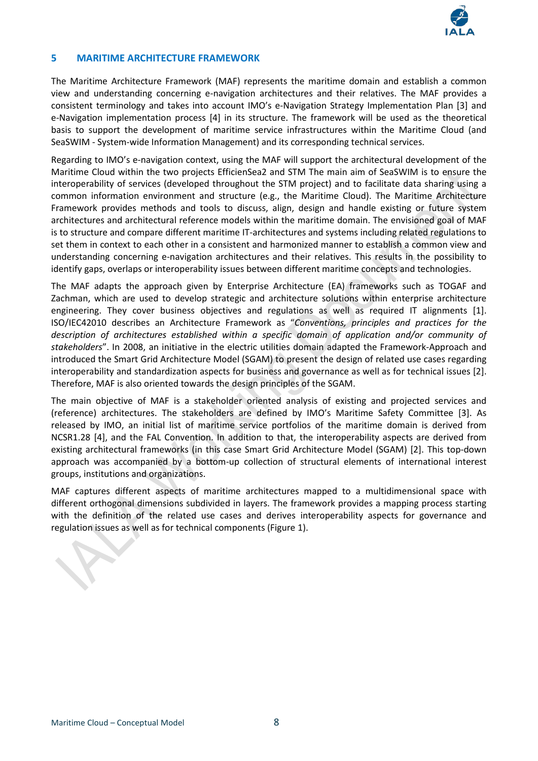

#### **5 MARITIME ARCHITECTURE FRAMEWORK**

The Maritime Architecture Framework (MAF) represents the maritime domain and establish a common view and understanding concerning e-navigation architectures and their relatives. The MAF provides a consistent terminology and takes into account IMO's e-Navigation Strategy Implementation Plan [\[3\]](#page-18-1) and e-Navigation implementation process [\[4\]](#page-18-2) in its structure. The framework will be used as the theoretical basis to support the development of maritime service infrastructures within the Maritime Cloud (and SeaSWIM - System-wide Information Management) and its corresponding technical services.

Regarding to IMO's e-navigation context, using the MAF will support the architectural development of the Maritime Cloud within the two projects EfficienSea2 and STM The main aim of SeaSWIM is to ensure the interoperability of services (developed throughout the STM project) and to facilitate data sharing using a common information environment and structure (e.g., the Maritime Cloud). The Maritime Architecture Framework provides methods and tools to discuss, align, design and handle existing or future system architectures and architectural reference models within the maritime domain. The envisioned goal of MAF is to structure and compare different maritime IT-architectures and systems including related regulations to set them in context to each other in a consistent and harmonized manner to establish a common view and understanding concerning e-navigation architectures and their relatives. This results in the possibility to identify gaps, overlaps or interoperability issues between different maritime concepts and technologies.

The MAF adapts the approach given by Enterprise Architecture (EA) frameworks such as TOGAF and Zachman, which are used to develop strategic and architecture solutions within enterprise architecture engineering. They cover business objectives and regulations as well as required IT alignments [\[1\].](#page-18-3) ISO/IEC42010 describes an Architecture Framework as "*Conventions, principles and practices for the description of architectures established within a specific domain of application and/or community of stakeholders*". In 2008, an initiative in the electric utilities domain adapted the Framework-Approach and introduced the Smart Grid Architecture Model (SGAM) to present the design of related use cases regarding interoperability and standardization aspects for business and governance as well as for technical issues [\[2\].](#page-18-4) Therefore, MAF is also oriented towards the design principles of the SGAM.

The main objective of MAF is a stakeholder oriented analysis of existing and projected services and (reference) architectures. The stakeholders are defined by IMO's Maritime Safety Committee [\[3\].](#page-18-1) As released by IMO, an initial list of maritime service portfolios of the maritime domain is derived from NCSR1.28 [\[4\],](#page-18-2) and the FAL Convention. In addition to that, the interoperability aspects are derived from existing architectural frameworks (in this case Smart Grid Architecture Model (SGAM) [\[2\].](#page-18-4) This top-down approach was accompanied by a bottom-up collection of structural elements of international interest groups, institutions and organizations.

MAF captures different aspects of maritime architectures mapped to a multidimensional space with different orthogonal dimensions subdivided in layers. The framework provides a mapping process starting with the definition of the related use cases and derives interoperability aspects for governance and regulation issues as well as for technical components (Figure 1).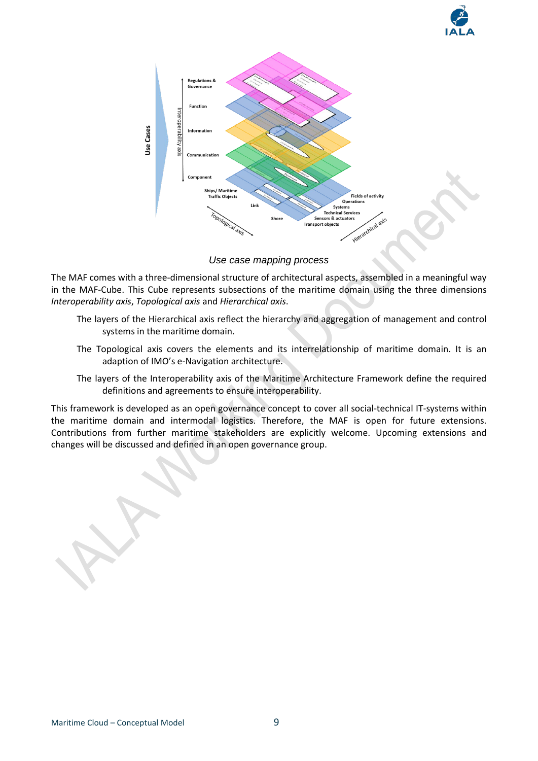



*Use case mapping process*

The MAF comes with a three-dimensional structure of architectural aspects, assembled in a meaningful way in the MAF-Cube. This Cube represents subsections of the maritime domain using the three dimensions *Interoperability axis*, *Topological axis* and *Hierarchical axis*.

- The layers of the Hierarchical axis reflect the hierarchy and aggregation of management and control systems in the maritime domain.
- The Topological axis covers the elements and its interrelationship of maritime domain. It is an adaption of IMO's e-Navigation architecture.
- The layers of the Interoperability axis of the Maritime Architecture Framework define the required definitions and agreements to ensure interoperability.

This framework is developed as an open governance concept to cover all social-technical IT-systems within the maritime domain and intermodal logistics. Therefore, the MAF is open for future extensions. Contributions from further maritime stakeholders are explicitly welcome. Upcoming extensions and changes will be discussed and defined in an open governance group.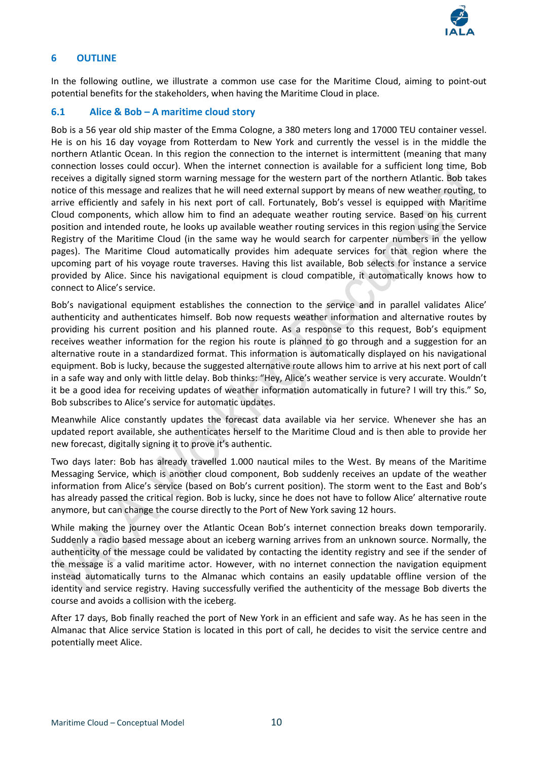

#### **6 OUTLINE**

In the following outline, we illustrate a common use case for the Maritime Cloud, aiming to point-out potential benefits for the stakeholders, when having the Maritime Cloud in place.

#### **6.1 Alice & Bob – A maritime cloud story**

Bob is a 56 year old ship master of the Emma Cologne, a 380 meters long and 17000 TEU container vessel. He is on his 16 day voyage from Rotterdam to New York and currently the vessel is in the middle the northern Atlantic Ocean. In this region the connection to the internet is intermittent (meaning that many connection losses could occur). When the internet connection is available for a sufficient long time, Bob receives a digitally signed storm warning message for the western part of the northern Atlantic. Bob takes notice of this message and realizes that he will need external support by means of new weather routing, to arrive efficiently and safely in his next port of call. Fortunately, Bob's vessel is equipped with Maritime Cloud components, which allow him to find an adequate weather routing service. Based on his current position and intended route, he looks up available weather routing services in this region using the Service Registry of the Maritime Cloud (in the same way he would search for carpenter numbers in the yellow pages). The Maritime Cloud automatically provides him adequate services for that region where the upcoming part of his voyage route traverses. Having this list available, Bob selects for instance a service provided by Alice. Since his navigational equipment is cloud compatible, it automatically knows how to connect to Alice's service.

Bob's navigational equipment establishes the connection to the service and in parallel validates Alice' authenticity and authenticates himself. Bob now requests weather information and alternative routes by providing his current position and his planned route. As a response to this request, Bob's equipment receives weather information for the region his route is planned to go through and a suggestion for an alternative route in a standardized format. This information is automatically displayed on his navigational equipment. Bob is lucky, because the suggested alternative route allows him to arrive at his next port of call in a safe way and only with little delay. Bob thinks: "Hey, Alice's weather service is very accurate. Wouldn't it be a good idea for receiving updates of weather information automatically in future? I will try this." So, Bob subscribes to Alice's service for automatic updates.

Meanwhile Alice constantly updates the forecast data available via her service. Whenever she has an updated report available, she authenticates herself to the Maritime Cloud and is then able to provide her new forecast, digitally signing it to prove it's authentic.

Two days later: Bob has already travelled 1.000 nautical miles to the West. By means of the Maritime Messaging Service, which is another cloud component, Bob suddenly receives an update of the weather information from Alice's service (based on Bob's current position). The storm went to the East and Bob's has already passed the critical region. Bob is lucky, since he does not have to follow Alice' alternative route anymore, but can change the course directly to the Port of New York saving 12 hours.

While making the journey over the Atlantic Ocean Bob's internet connection breaks down temporarily. Suddenly a radio based message about an iceberg warning arrives from an unknown source. Normally, the authenticity of the message could be validated by contacting the identity registry and see if the sender of the message is a valid maritime actor. However, with no internet connection the navigation equipment instead automatically turns to the Almanac which contains an easily updatable offline version of the identity and service registry. Having successfully verified the authenticity of the message Bob diverts the course and avoids a collision with the iceberg.

After 17 days, Bob finally reached the port of New York in an efficient and safe way. As he has seen in the Almanac that Alice service Station is located in this port of call, he decides to visit the service centre and potentially meet Alice.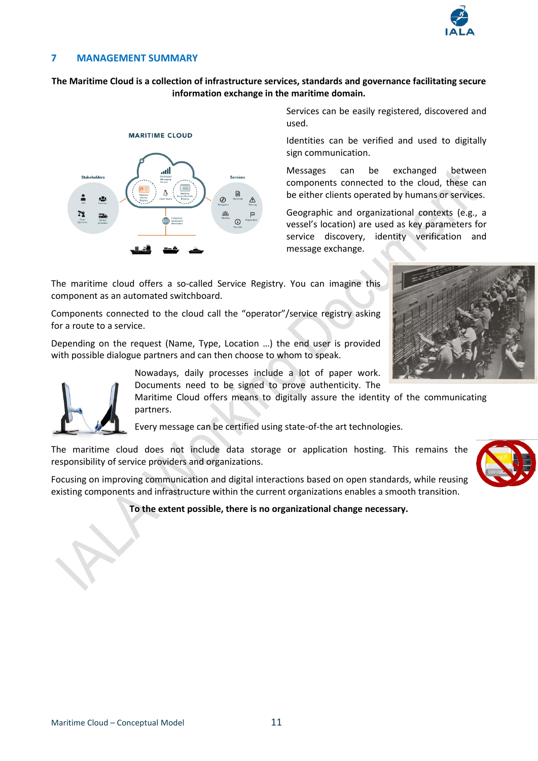

#### **7 MANAGEMENT SUMMARY**

#### **The Maritime Cloud is a collection of infrastructure services, standards and governance facilitating secure information exchange in the maritime domain.**



Services can be easily registered, discovered and used.

Identities can be verified and used to digitally sign communication.

Messages can be exchanged between components connected to the cloud, these can be either clients operated by humans or services.

Geographic and organizational contexts (e.g., a vessel's location) are used as key parameters for service discovery, identity verification and message exchange.

The maritime cloud offers a so-called Service Registry. You can imagine this component as an automated switchboard.

Components connected to the cloud call the "operator"/service registry asking for a route to a service.

Depending on the request (Name, Type, Location …) the end user is provided with possible dialogue partners and can then choose to whom to speak.



Nowadays, daily processes include a lot of paper work. Documents need to be signed to prove authenticity. The

Maritime Cloud offers means to digitally assure the identity of the communicating partners.

Every message can be certified using state-of-the art technologies.

The maritime cloud does not include data storage or application hosting. This remains the responsibility of service providers and organizations.

Focusing on improving communication and digital interactions based on open standards, while reusing existing components and infrastructure within the current organizations enables a smooth transition.





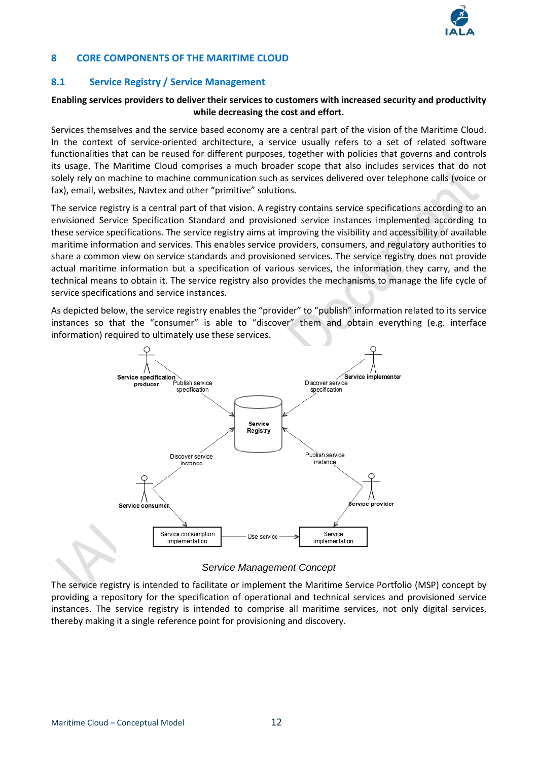

#### **8 CORE COMPONENTS OF THE MARITIME CLOUD**

#### **8.1 Service Registry / Service Management**

#### **Enabling services providers to deliver their services to customers with increased security and productivity while decreasing the cost and effort.**

Services themselves and the service based economy are a central part of the vision of the Maritime Cloud. In the context of service-oriented architecture, a service usually refers to a set of related software functionalities that can be reused for different purposes, together with policies that governs and controls its usage. The Maritime Cloud comprises a much broader scope that also includes services that do not solely rely on machine to machine communication such as services delivered over telephone calls (voice or fax), email, websites, Navtex and other "primitive" solutions.

The service registry is a central part of that vision. A registry contains service specifications according to an envisioned Service Specification Standard and provisioned service instances implemented according to these service specifications. The service registry aims at improving the visibility and accessibility of available maritime information and services. This enables service providers, consumers, and regulatory authorities to share a common view on service standards and provisioned services. The service registry does not provide actual maritime information but a specification of various services, the information they carry, and the technical means to obtain it. The service registry also provides the mechanisms to manage the life cycle of service specifications and service instances.

As depicted below, the service registry enables the "provider" to "publish" information related to its service instances so that the "consumer" is able to "discover" them and obtain everything (e.g. interface information) required to ultimately use these services.



#### *Service Management Concept*

The service registry is intended to facilitate or implement the Maritime Service Portfolio (MSP) concept by providing a repository for the specification of operational and technical services and provisioned service instances. The service registry is intended to comprise all maritime services, not only digital services, thereby making it a single reference point for provisioning and discovery.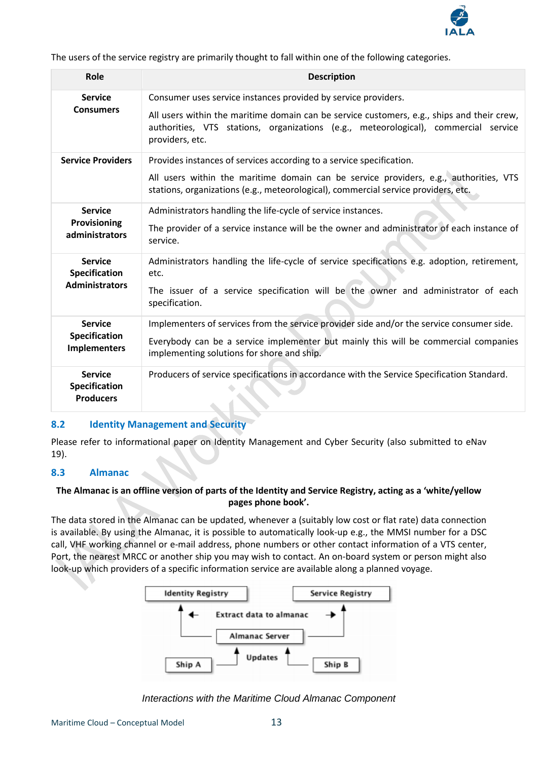

#### The users of the service registry are primarily thought to fall within one of the following categories.

| Role                                                     | <b>Description</b>                                                                                                                                                                                                                                                     |
|----------------------------------------------------------|------------------------------------------------------------------------------------------------------------------------------------------------------------------------------------------------------------------------------------------------------------------------|
| <b>Service</b><br><b>Consumers</b>                       | Consumer uses service instances provided by service providers.<br>All users within the maritime domain can be service customers, e.g., ships and their crew,<br>authorities, VTS stations, organizations (e.g., meteorological), commercial service<br>providers, etc. |
| <b>Service Providers</b>                                 | Provides instances of services according to a service specification.<br>All users within the maritime domain can be service providers, e.g., authorities, VTS<br>stations, organizations (e.g., meteorological), commercial service providers, etc.                    |
| <b>Service</b><br>Provisioning<br>administrators         | Administrators handling the life-cycle of service instances.<br>The provider of a service instance will be the owner and administrator of each instance of<br>service.                                                                                                 |
| <b>Service</b><br>Specification<br><b>Administrators</b> | Administrators handling the life-cycle of service specifications e.g. adoption, retirement,<br>etc.<br>The issuer of a service specification will be the owner and administrator of each<br>specification.                                                             |
| <b>Service</b><br><b>Specification</b><br>Implementers   | Implementers of services from the service provider side and/or the service consumer side.<br>Everybody can be a service implementer but mainly this will be commercial companies<br>implementing solutions for shore and ship.                                         |
| <b>Service</b><br>Specification<br><b>Producers</b>      | Producers of service specifications in accordance with the Service Specification Standard.                                                                                                                                                                             |

#### **8.2 Identity Management and Security**

Please refer to informational paper on Identity Management and Cyber Security (also submitted to eNav 19).

#### **8.3 Almanac**

#### **The Almanac is an offline version of parts of the Identity and Service Registry, acting as a 'white/yellow pages phone book'.**

The data stored in the Almanac can be updated, whenever a (suitably low cost or flat rate) data connection is available. By using the Almanac, it is possible to automatically look-up e.g., the MMSI number for a DSC call, VHF working channel or e-mail address, phone numbers or other contact information of a VTS center, Port, the nearest MRCC or another ship you may wish to contact. An on-board system or person might also look-up which providers of a specific information service are available along a planned voyage.



*Interactions with the Maritime Cloud Almanac Component*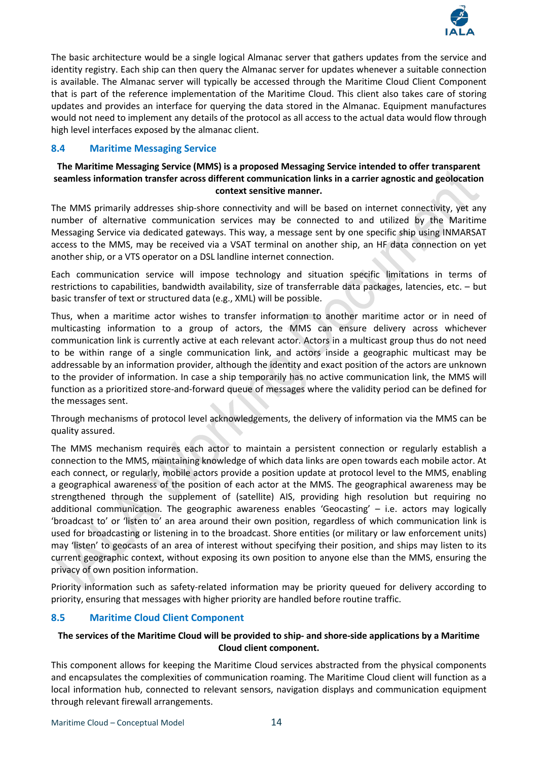

The basic architecture would be a single logical Almanac server that gathers updates from the service and identity registry. Each ship can then query the Almanac server for updates whenever a suitable connection is available. The Almanac server will typically be accessed through the Maritime Cloud Client Component that is part of the reference implementation of the Maritime Cloud. This client also takes care of storing updates and provides an interface for querying the data stored in the Almanac. Equipment manufactures would not need to implement any details of the protocol as all access to the actual data would flow through high level interfaces exposed by the almanac client.

#### **8.4 Maritime Messaging Service**

#### **The Maritime Messaging Service (MMS) is a proposed Messaging Service intended to offer transparent seamless information transfer across different communication links in a carrier agnostic and geolocation context sensitive manner.**

The MMS primarily addresses ship-shore connectivity and will be based on internet connectivity, yet any number of alternative communication services may be connected to and utilized by the Maritime Messaging Service via dedicated gateways. This way, a message sent by one specific ship using INMARSAT access to the MMS, may be received via a VSAT terminal on another ship, an HF data connection on yet another ship, or a VTS operator on a DSL landline internet connection.

Each communication service will impose technology and situation specific limitations in terms of restrictions to capabilities, bandwidth availability, size of transferrable data packages, latencies, etc. – but basic transfer of text or structured data (e.g., XML) will be possible.

Thus, when a maritime actor wishes to transfer information to another maritime actor or in need of multicasting information to a group of actors, the MMS can ensure delivery across whichever communication link is currently active at each relevant actor. Actors in a multicast group thus do not need to be within range of a single communication link, and actors inside a geographic multicast may be addressable by an information provider, although the identity and exact position of the actors are unknown to the provider of information. In case a ship temporarily has no active communication link, the MMS will function as a prioritized store-and-forward queue of messages where the validity period can be defined for the messages sent.

Through mechanisms of protocol level acknowledgements, the delivery of information via the MMS can be quality assured.

The MMS mechanism requires each actor to maintain a persistent connection or regularly establish a connection to the MMS, maintaining knowledge of which data links are open towards each mobile actor. At each connect, or regularly, mobile actors provide a position update at protocol level to the MMS, enabling a geographical awareness of the position of each actor at the MMS. The geographical awareness may be strengthened through the supplement of (satellite) AIS, providing high resolution but requiring no additional communication. The geographic awareness enables 'Geocasting' – i.e. actors may logically 'broadcast to' or 'listen to' an area around their own position, regardless of which communication link is used for broadcasting or listening in to the broadcast. Shore entities (or military or law enforcement units) may 'listen' to geocasts of an area of interest without specifying their position, and ships may listen to its current geographic context, without exposing its own position to anyone else than the MMS, ensuring the privacy of own position information.

Priority information such as safety-related information may be priority queued for delivery according to priority, ensuring that messages with higher priority are handled before routine traffic.

#### **8.5 Maritime Cloud Client Component**

#### **The services of the Maritime Cloud will be provided to ship- and shore-side applications by a Maritime Cloud client component.**

This component allows for keeping the Maritime Cloud services abstracted from the physical components and encapsulates the complexities of communication roaming. The Maritime Cloud client will function as a local information hub, connected to relevant sensors, navigation displays and communication equipment through relevant firewall arrangements.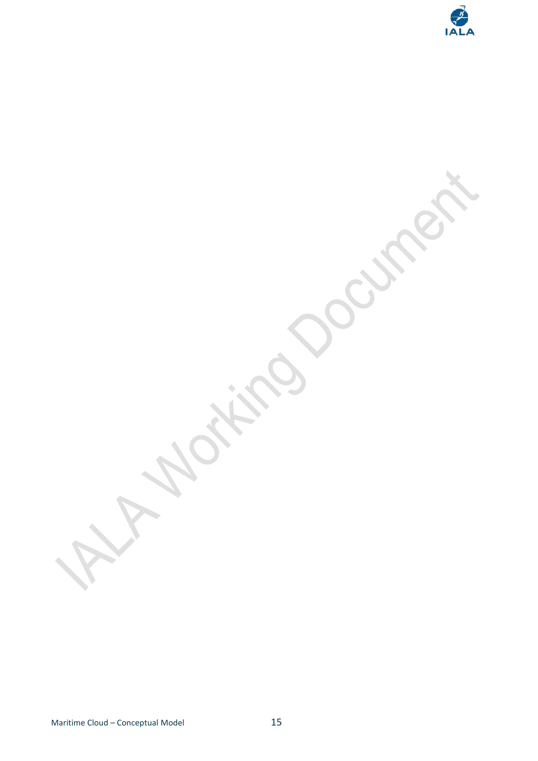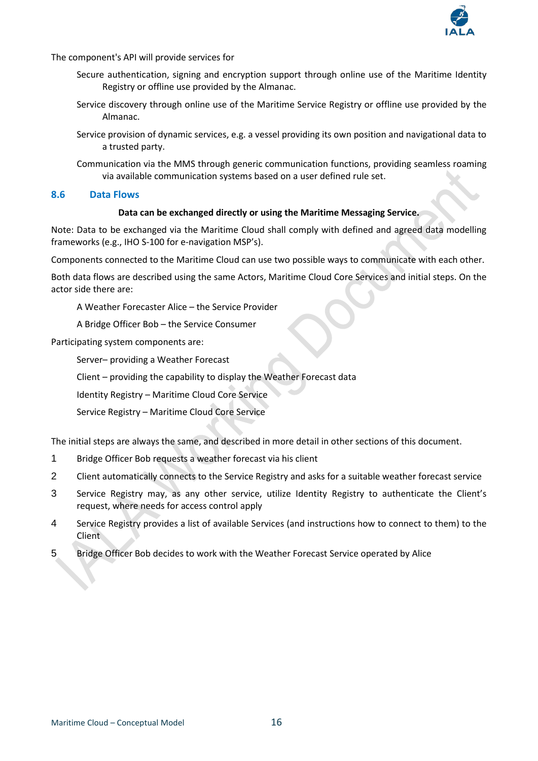

The component's API will provide services for

- Secure authentication, signing and encryption support through online use of the Maritime Identity Registry or offline use provided by the Almanac.
- Service discovery through online use of the Maritime Service Registry or offline use provided by the Almanac.
- Service provision of dynamic services, e.g. a vessel providing its own position and navigational data to a trusted party.
- Communication via the MMS through generic communication functions, providing seamless roaming via available communication systems based on a user defined rule set.

#### **8.6 Data Flows**

#### **Data can be exchanged directly or using the Maritime Messaging Service.**

Note: Data to be exchanged via the Maritime Cloud shall comply with defined and agreed data modelling frameworks (e.g., IHO S-100 for e-navigation MSP's).

Components connected to the Maritime Cloud can use two possible ways to communicate with each other.

Both data flows are described using the same Actors, Maritime Cloud Core Services and initial steps. On the actor side there are:

A Weather Forecaster Alice – the Service Provider

A Bridge Officer Bob – the Service Consumer

Participating system components are:

Server– providing a Weather Forecast

Client – providing the capability to display the Weather Forecast data

Identity Registry – Maritime Cloud Core Service

Service Registry – Maritime Cloud Core Service

The initial steps are always the same, and described in more detail in other sections of this document.

- 1 Bridge Officer Bob requests a weather forecast via his client
- 2 Client automatically connects to the Service Registry and asks for a suitable weather forecast service
- 3 Service Registry may, as any other service, utilize Identity Registry to authenticate the Client's request, where needs for access control apply
- 4 Service Registry provides a list of available Services (and instructions how to connect to them) to the **Client**
- 5 Bridge Officer Bob decides to work with the Weather Forecast Service operated by Alice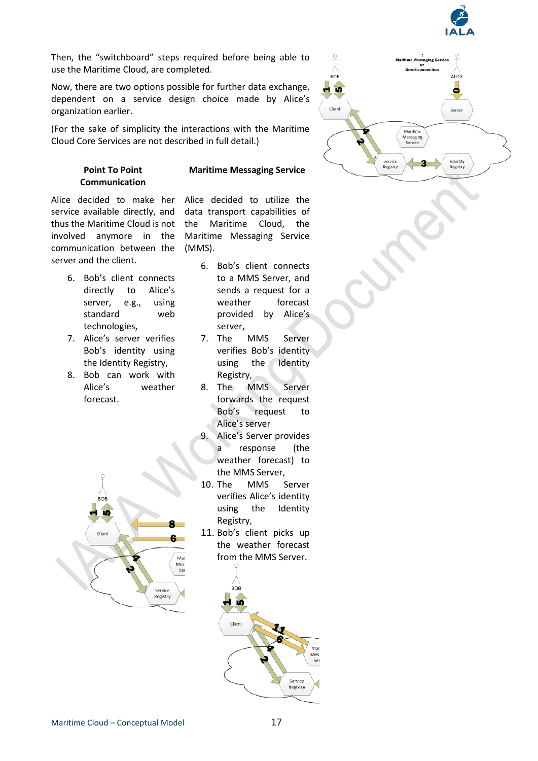

Then, the "switchboard" steps required before being able to use the Maritime Cloud, are completed.

Now, there are two options possible for further data exchange, dependent on a service design choice made by Alice's organization earlier.

(For the sake of simplicity the interactions with the Maritime Cloud Core Services are not described in full detail.)

#### **Point To Point Communication**

## **Maritime Messaging Service**

Alice decided to make her Alice decided to utilize the service available directly, and data transport capabilities of thus the Maritime Cloud is not involved anymore in the Maritime Messaging Service communication between the server and the client.

- 6. Bob's client connects directly to Alice's server, e.g., using standard web technologies,
- 7. Alice's server verifies Bob's identity using the Identity Registry,
- 8. Bob can work with Alice's weather forecast.



Maritime Cloud, the (MMS).

- 6. Bob's client connects to a MMS Server, and sends a request for a weather forecast provided by Alice's server,
- 7. The MMS Server verifies Bob's identity using the Identity Registry,
- 8. The MMS Server forwards the request Bob's request to Alice's server
- 9. Alice's Server provides a response (the weather forecast) to the MMS Server,
- 10. The MMS Server verifies Alice's identity using the Identity Registry,
- 11. Bob's client picks up the weather forecast from the MMS Server.



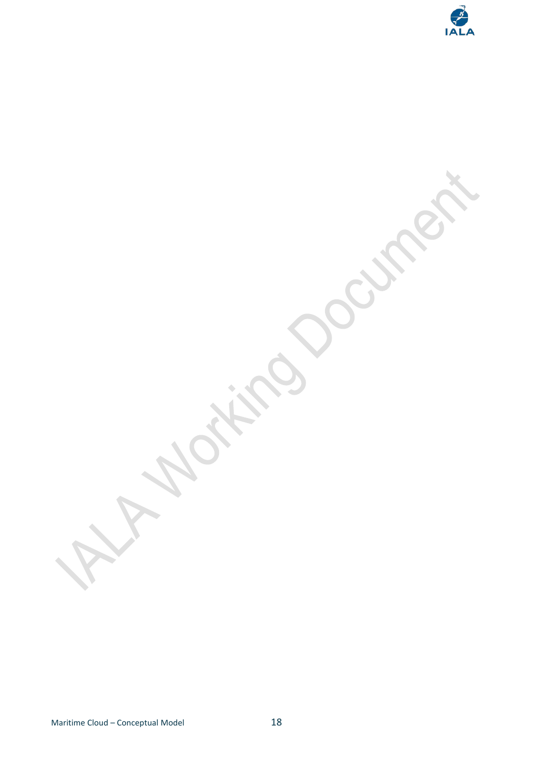